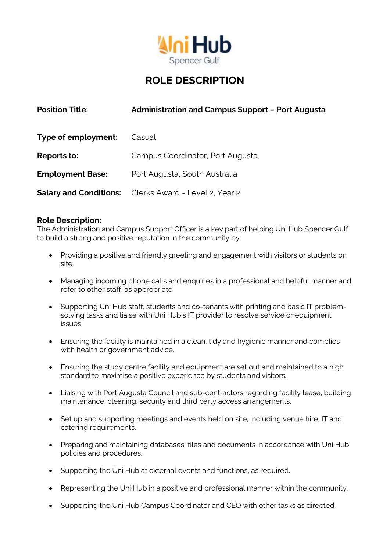

# **ROLE DESCRIPTION**

| <b>Position Title:</b>  | <b>Administration and Campus Support - Port Augusta</b>      |
|-------------------------|--------------------------------------------------------------|
| Type of employment:     | Casual                                                       |
| Reports to:             | Campus Coordinator, Port Augusta                             |
| <b>Employment Base:</b> | Port Augusta, South Australia                                |
|                         | <b>Salary and Conditions:</b> Clerks Award - Level 2, Year 2 |

# **Role Description:**

The Administration and Campus Support Officer is a key part of helping Uni Hub Spencer Gulf to build a strong and positive reputation in the community by:

- Providing a positive and friendly greeting and engagement with visitors or students on site.
- Managing incoming phone calls and enquiries in a professional and helpful manner and refer to other staff, as appropriate.
- Supporting Uni Hub staff, students and co-tenants with printing and basic IT problemsolving tasks and liaise with Uni Hub's IT provider to resolve service or equipment issues.
- Ensuring the facility is maintained in a clean, tidy and hygienic manner and complies with health or government advice.
- Ensuring the study centre facility and equipment are set out and maintained to a high standard to maximise a positive experience by students and visitors.
- Liaising with Port Augusta Council and sub-contractors regarding facility lease, building maintenance, cleaning, security and third party access arrangements.
- Set up and supporting meetings and events held on site, including venue hire, IT and catering requirements.
- Preparing and maintaining databases, files and documents in accordance with Uni Hub policies and procedures.
- Supporting the Uni Hub at external events and functions, as required.
- Representing the Uni Hub in a positive and professional manner within the community.
- Supporting the Uni Hub Campus Coordinator and CEO with other tasks as directed.